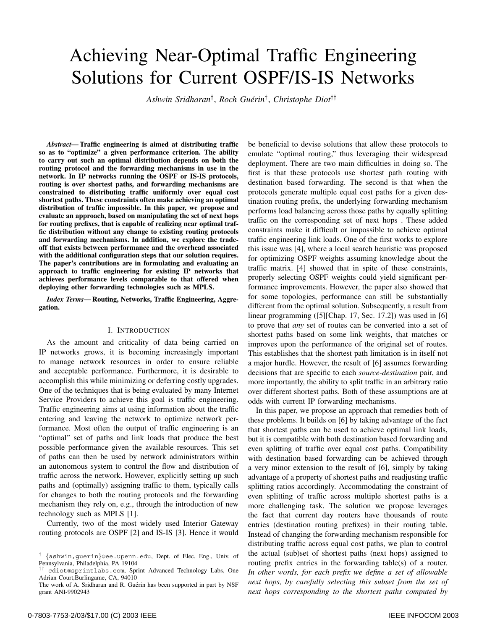# Achieving Near-Optimal Traffic Engineering Solutions for Current OSPF/IS-IS Networks

*Ashwin Sridharan†*, *Roch Guerin ´ †*, *Christophe Diot††*

*Abstract***— Traffic engineering is aimed at distributing traffic so as to "optimize" a given performance criterion. The ability to carry out such an optimal distribution depends on both the routing protocol and the forwarding mechanisms in use in the network. In IP networks running the OSPF or IS-IS protocols, routing is over shortest paths, and forwarding mechanisms are constrained to distributing traffic uniformly over equal cost shortest paths. These constraints often make achieving an optimal distribution of traffic impossible. In this paper, we propose and evaluate an approach, based on manipulating the set of next hops for routing prefixes, that is capable of realizing near optimal traffic distribution without any change to existing routing protocols and forwarding mechanisms. In addition, we explore the tradeoff that exists between performance and the overhead associated with the additional configuration steps that our solution requires. The paper's contributions are in formulating and evaluating an approach to traffic engineering for existing IP networks that achieves performance levels comparable to that offered when deploying other forwarding technologies such as MPLS.**

*Index Terms***— Routing, Networks, Traffic Engineering, Aggregation.**

# I. INTRODUCTION

As the amount and criticality of data being carried on IP networks grows, it is becoming increasingly important to manage network resources in order to ensure reliable and acceptable performance. Furthermore, it is desirable to accomplish this while minimizing or deferring costly upgrades. One of the techniques that is being evaluated by many Internet Service Providers to achieve this goal is traffic engineering. Traffic engineering aims at using information about the traffic entering and leaving the network to optimize network performance. Most often the output of traffic engineering is an "optimal" set of paths and link loads that produce the best possible performance given the available resources. This set of paths can then be used by network administrators within an autonomous system to control the flow and distribution of traffic across the network. However, explicitly setting up such paths and (optimally) assigning traffic to them, typically calls for changes to both the routing protocols and the forwarding mechanism they rely on, e.g., through the introduction of new technology such as MPLS [1].

Currently, two of the most widely used Interior Gateway routing protocols are OSPF [2] and IS-IS [3]. Hence it would

The work of A. Sridharan and R. Guérin has been supported in part by NSF grant ANI-9902943

be beneficial to devise solutions that allow these protocols to emulate "optimal routing," thus leveraging their widespread deployment. There are two main difficulties in doing so. The first is that these protocols use shortest path routing with destination based forwarding. The second is that when the protocols generate multiple equal cost paths for a given destination routing prefix, the underlying forwarding mechanism performs load balancing across those paths by equally splitting traffic on the corresponding set of next hops . These added constraints make it difficult or impossible to achieve optimal traffic engineering link loads. One of the first works to explore this issue was [4], where a local search heuristic was proposed for optimizing OSPF weights assuming knowledge about the traffic matrix. [4] showed that in spite of these constraints, properly selecting OSPF weights could yield significant performance improvements. However, the paper also showed that for some topologies, performance can still be substantially different from the optimal solution. Subsequently, a result from linear programming ([5][Chap. 17, Sec. 17.2]) was used in [6] to prove that *any* set of routes can be converted into a set of shortest paths based on some link weights, that matches or improves upon the performance of the original set of routes. This establishes that the shortest path limitation is in itself not a major hurdle. However, the result of [6] assumes forwarding decisions that are specific to each *source-destination* pair, and more importantly, the ability to split traffic in an arbitrary ratio over different shortest paths. Both of these assumptions are at odds with current IP forwarding mechanisms.

In this paper, we propose an approach that remedies both of these problems. It builds on [6] by taking advantage of the fact that shortest paths can be used to achieve optimal link loads, but it is compatible with both destination based forwarding and even splitting of traffic over equal cost paths. Compatibility with destination based forwarding can be achieved through a very minor extension to the result of [6], simply by taking advantage of a property of shortest paths and readjusting traffic splitting ratios accordingly. Accommodating the constraint of even splitting of traffic across multiple shortest paths is a more challenging task. The solution we propose leverages the fact that current day routers have thousands of route entries (destination routing prefixes) in their routing table. Instead of changing the forwarding mechanism responsible for distributing traffic across equal cost paths, we plan to control the actual (sub)set of shortest paths (next hops) assigned to routing prefix entries in the forwarding table(s) of a router. *In other words, for each prefix we define a set of allowable next hops, by carefully selecting this subset from the set of next hops corresponding to the shortest paths computed by*

*<sup>†</sup> {*ashwin,guerin*}*@ee.upenn.edu, Dept. of Elec. Eng., Univ. of Pennsylvania, Philadelphia, PA 19104

*<sup>††</sup>* cdiot@sprintlabs.com, Sprint Advanced Technology Labs, One Adrian Court,Burlingame, CA, 94010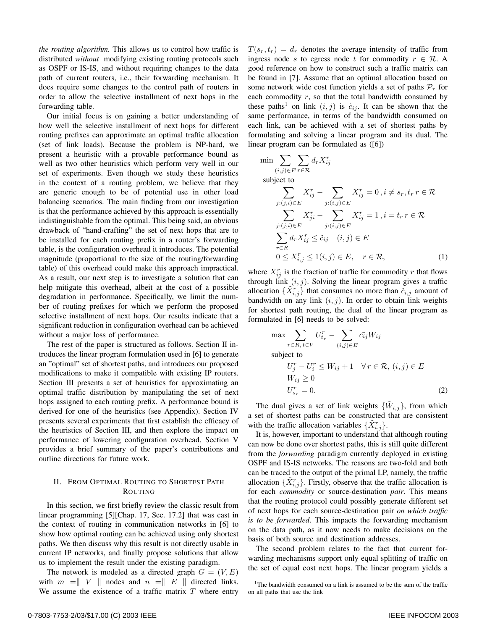*the routing algorithm.* This allows us to control how traffic is distributed *without* modifying existing routing protocols such as OSPF or IS-IS, and without requiring changes to the data path of current routers, i.e., their forwarding mechanism. It does require some changes to the control path of routers in order to allow the selective installment of next hops in the forwarding table.

Our initial focus is on gaining a better understanding of how well the selective installment of next hops for different routing prefixes can approximate an optimal traffic allocation (set of link loads). Because the problem is NP-hard, we present a heuristic with a provable performance bound as well as two other heuristics which perform very well in our set of experiments. Even though we study these heuristics in the context of a routing problem, we believe that they are generic enough to be of potential use in other load balancing scenarios. The main finding from our investigation is that the performance achieved by this approach is essentially indistinguishable from the optimal. This being said, an obvious drawback of "hand-crafting" the set of next hops that are to be installed for each routing prefix in a router's forwarding table, is the configuration overhead it introduces. The potential magnitude (proportional to the size of the routing/forwarding table) of this overhead could make this approach impractical. As a result, our next step is to investigate a solution that can help mitigate this overhead, albeit at the cost of a possible degradation in performance. Specifically, we limit the number of routing prefixes for which we perform the proposed selective installment of next hops. Our results indicate that a significant reduction in configuration overhead can be achieved without a major loss of performance.

The rest of the paper is structured as follows. Section II introduces the linear program formulation used in [6] to generate an "optimal" set of shortest paths, and introduces our proposed modifications to make it compatible with existing IP routers. Section III presents a set of heuristics for approximating an optimal traffic distribution by manipulating the set of next hops assigned to each routing prefix. A performance bound is derived for one of the heuristics (see Appendix). Section IV presents several experiments that first establish the efficacy of the heuristics of Section III, and then explore the impact on performance of lowering configuration overhead. Section V provides a brief summary of the paper's contributions and outline directions for future work.

# II. FROM OPTIMAL ROUTING TO SHORTEST PATH ROUTING

In this section, we first briefly review the classic result from linear programming [5][Chap. 17, Sec. 17.2] that was cast in the context of routing in communication networks in [6] to show how optimal routing can be achieved using only shortest paths. We then discuss why this result is not directly usable in current IP networks, and finally propose solutions that allow us to implement the result under the existing paradigm.

The network is modeled as a directed graph  $G = (V, E)$ with  $m = ||V||$  nodes and  $n = ||E||$  directed links. We assume the existence of a traffic matrix *T* where entry  $T(s_r, t_r) = d_r$  denotes the average intensity of traffic from ingress node *s* to egress node *t* for commodity  $r \in \mathcal{R}$ . A good reference on how to construct such a traffic matrix can be found in [7]. Assume that an optimal allocation based on some network wide cost function yields a set of paths  $P_r$  for each commodity *r*, so that the total bandwidth consumed by these paths<sup>1</sup> on link  $(i, j)$  is  $\tilde{c}_{ij}$ . It can be shown that the same performance, in terms of the bandwidth consumed on each link, can be achieved with a set of shortest paths by formulating and solving a linear program and its dual. The linear program can be formulated as ([6])

$$
\min \sum_{(i,j)\in E} \sum_{r\in\mathcal{R}} d_r X_{ij}^r
$$
\n
$$
\text{subject to}
$$
\n
$$
\sum_{i,j} X_{ij}^r - \sum_{r\in\mathcal{R}} X_{ij}^r = 0
$$

$$
\sum_{j:(j,i)\in E} X_{ij}^r - \sum_{j:(i,j)\in E} X_{ij}^r = 0, i \neq s_r, t_r r \in \mathcal{R}
$$
  

$$
\sum_{j:(j,i)\in E} X_{ji}^r - \sum_{j:(i,j)\in E} X_{ij}^r = 1, i = t_r r \in \mathcal{R}
$$
  

$$
\sum_{r\in R} d_r X_{ij}^r \leq \tilde{c}_{ij} \quad (i,j) \in E
$$
  

$$
0 \leq X_{i,j}^r \leq 1(i,j) \in E, r \in \mathcal{R},
$$
 (1)

where  $X_{ij}^r$  is the fraction of traffic for commodity  $r$  that flows through link  $(i, j)$ . Solving the linear program gives a traffic allocation  $\{\tilde{X}_{i,j}^r\}$  that consumes no more than  $\tilde{c}_{i,j}$  amount of bandwidth on any link  $(i, j)$ . In order to obtain link weights for shortest path routing, the dual of the linear program as formulated in [6] needs to be solved:

$$
\max \sum_{r \in R, t \in V} U_{t_r}^r - \sum_{(i,j) \in E} \tilde{c}_{ij} W_{ij}
$$
\n
$$
\text{subject to}
$$
\n
$$
U_j^r - U_i^r \le W_{ij} + 1 \quad \forall r \in \mathcal{R}, \ (i,j) \in E
$$
\n
$$
W_{ij} \ge 0
$$

$$
U_{s_r}^r = 0. \tag{2}
$$

The dual gives a set of link weights  $\{\tilde{W}_{i,j}\}\$ , from which a set of shortest paths can be constructed that are consistent with the traffic allocation variables  $\{\tilde{X}_{i,j}^r\}$ .

*Ur*

It is, however, important to understand that although routing can now be done over shortest paths, this is still quite different from the *forwarding* paradigm currently deployed in existing OSPF and IS-IS networks. The reasons are two-fold and both can be traced to the output of the primal LP, namely, the traffic allocation  $\{\tilde{X}_{i,j}^r\}$ . Firstly, observe that the traffic allocation is for each *commodity* or source-destination *pair*. This means that the routing protocol could possibly generate different set of next hops for each source-destination pair *on which traffic is to be forwarded*. This impacts the forwarding mechanism on the data path, as it now needs to make decisions on the basis of both source and destination addresses.

The second problem relates to the fact that current forwarding mechanisms support only equal splitting of traffic on the set of equal cost next hops. The linear program yields a

<sup>&</sup>lt;sup>1</sup>The bandwidth consumed on a link is assumed to be the sum of the traffic on all paths that use the link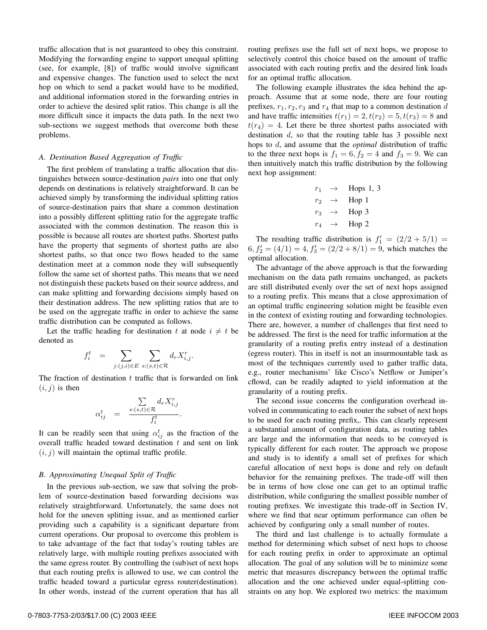traffic allocation that is not guaranteed to obey this constraint. Modifying the forwarding engine to support unequal splitting (see, for example, [8]) of traffic would involve significant and expensive changes. The function used to select the next hop on which to send a packet would have to be modified, and additional information stored in the forwarding entries in order to achieve the desired split ratios. This change is all the more difficult since it impacts the data path. In the next two sub-sections we suggest methods that overcome both these problems.

# *A. Destination Based Aggregation of Traffic*

The first problem of translating a traffic allocation that distinguishes between source-destination *pairs* into one that only depends on destinations is relatively straightforward. It can be achieved simply by transforming the individual splitting ratios of source-destination pairs that share a common destination into a possibly different splitting ratio for the aggregate traffic associated with the common destination. The reason this is possible is because all routes are shortest paths. Shortest paths have the property that segments of shortest paths are also shortest paths, so that once two flows headed to the same destination meet at a common node they will subsequently follow the same set of shortest paths. This means that we need not distinguish these packets based on their source address, and can make splitting and forwarding decisions simply based on their destination address. The new splitting ratios that are to be used on the aggregate traffic in order to achieve the same traffic distribution can be computed as follows.

Let the traffic heading for destination  $t$  at node  $i \neq t$  be denoted as

$$
f_i^t = \sum_{j:(j,i)\in E} \sum_{s:(s,t)\in \mathcal{R}} d_r X_{i,j}^r.
$$

The fraction of destination *t* traffic that is forwarded on link  $(i, j)$  is then

$$
\alpha_{ij}^t \quad = \quad \frac{\sum\limits_{s:(s,t)\in \mathcal{R}} d_r X_{i,j}^r}{f_i^t}.
$$

It can be readily seen that using  $\alpha_{ij}^t$  as the fraction of the overall traffic headed toward destination *t* and sent on link  $(i, j)$  will maintain the optimal traffic profile.

#### *B. Approximating Unequal Split of Traffic*

In the previous sub-section, we saw that solving the problem of source-destination based forwarding decisions was relatively straightforward. Unfortunately, the same does not hold for the uneven splitting issue, and as mentioned earlier providing such a capability is a significant departure from current operations. Our proposal to overcome this problem is to take advantage of the fact that today's routing tables are relatively large, with multiple routing prefixes associated with the same egress router. By controlling the (sub)set of next hops that each routing prefix is allowed to use, we can control the traffic headed toward a particular egress router(destination). In other words, instead of the current operation that has all routing prefixes use the full set of next hops, we propose to selectively control this choice based on the amount of traffic associated with each routing prefix and the desired link loads for an optimal traffic allocation.

The following example illustrates the idea behind the approach. Assume that at some node, there are four routing prefixes,  $r_1, r_2, r_3$  and  $r_4$  that map to a common destination  $d$ and have traffic intensities  $t(r_1)=2, t(r_2)=5, t(r_3)=8$  and  $t(r_4)=4$ . Let there be three shortest paths associated with destination *d*, so that the routing table has 3 possible next hops to *d*, and assume that the *optimal* distribution of traffic to the three next hops is  $f_1 = 6$ ,  $f_2 = 4$  and  $f_3 = 9$ . We can then intuitively match this traffic distribution by the following next hop assignment:

$$
r_1 \rightarrow \text{Hops 1, 3}
$$
  
\n
$$
r_2 \rightarrow \text{Hop 1}
$$
  
\n
$$
r_3 \rightarrow \text{Hop 3}
$$
  
\n
$$
r_4 \rightarrow \text{Hop 2}
$$

The resulting traffic distribution is  $f_1' = (2/2 + 5/1) =$  $6, f'_{2} = (4/1) = 4, f'_{3} = (2/2 + 8/1) = 9$ , which matches the optimal allocation.

The advantage of the above approach is that the forwarding mechanism on the data path remains unchanged, as packets are still distributed evenly over the set of next hops assigned to a routing prefix. This means that a close approximation of an optimal traffic engineering solution might be feasible even in the context of existing routing and forwarding technologies. There are, however, a number of challenges that first need to be addressed. The first is the need for traffic information at the granularity of a routing prefix entry instead of a destination (egress router). This in itself is not an insurmountable task as most of the techniques currently used to gather traffic data, e.g., router mechanisms' like Cisco's Netflow or Juniper's cflowd, can be readily adapted to yield information at the granularity of a routing prefix.

The second issue concerns the configuration overhead involved in communicating to each router the subset of next hops to be used for each routing prefix,. This can clearly represent a substantial amount of configuration data, as routing tables are large and the information that needs to be conveyed is typically different for each router. The approach we propose and study is to identify a small set of prefixes for which careful allocation of next hops is done and rely on default behavior for the remaining prefixes. The trade-off will then be in terms of how close one can get to an optimal traffic distribution, while configuring the smallest possible number of routing prefixes. We investigate this trade-off in Section IV, where we find that near optimum performance can often be achieved by configuring only a small number of routes.

The third and last challenge is to actually formulate a method for determining which subset of next hops to choose for each routing prefix in order to approximate an optimal allocation. The goal of any solution will be to minimize some metric that measures discrepancy between the optimal traffic allocation and the one achieved under equal-splitting constraints on any hop. We explored two metrics: the maximum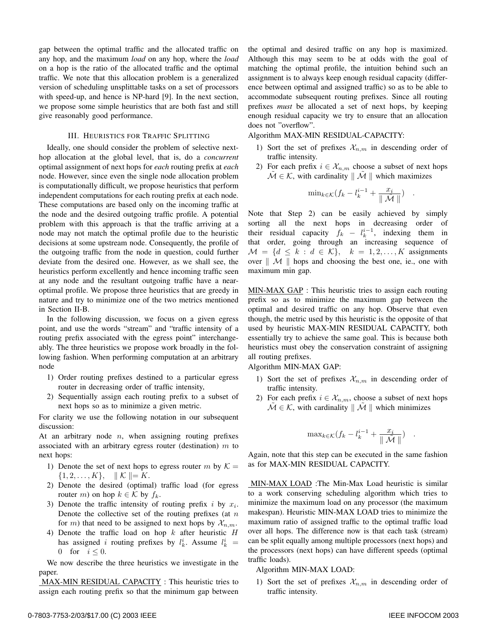gap between the optimal traffic and the allocated traffic on any hop, and the maximum *load* on any hop, where the *load* on a hop is the ratio of the allocated traffic and the optimal traffic. We note that this allocation problem is a generalized version of scheduling unsplittable tasks on a set of processors with speed-up, and hence is NP-hard [9]. In the next section, we propose some simple heuristics that are both fast and still give reasonably good performance.

#### III. HEURISTICS FOR TRAFFIC SPLITTING

Ideally, one should consider the problem of selective nexthop allocation at the global level, that is, do a *concurrent* optimal assignment of next hops for *each* routing prefix at *each* node. However, since even the single node allocation problem is computationally difficult, we propose heuristics that perform independent computations for each routing prefix at each node. These computations are based only on the incoming traffic at the node and the desired outgoing traffic profile. A potential problem with this approach is that the traffic arriving at a node may not match the optimal profile due to the heuristic decisions at some upstream node. Consequently, the profile of the outgoing traffic from the node in question, could further deviate from the desired one. However, as we shall see, the heuristics perform excellently and hence incoming traffic seen at any node and the resultant outgoing traffic have a nearoptimal profile. We propose three heuristics that are greedy in nature and try to minimize one of the two metrics mentioned in Section II-B.

In the following discussion, we focus on a given egress point, and use the words "stream" and "traffic intensity of a routing prefix associated with the egress point" interchangeably. The three heuristics we propose work broadly in the following fashion. When performing computation at an arbitrary node

- 1) Order routing prefixes destined to a particular egress router in decreasing order of traffic intensity,
- 2) Sequentially assign each routing prefix to a subset of next hops so as to minimize a given metric.

For clarity we use the following notation in our subsequent discussion:

At an arbitrary node *n*, when assigning routing prefixes associated with an arbitrary egress router (destination) *m* to next hops:

- 1) Denote the set of next hops to egress router *m* by  $K =$  $\{1, 2, \ldots, K\}, \quad \|\mathcal{K}\| = K.$
- 2) Denote the desired (optimal) traffic load (for egress router *m*) on hop  $k \in K$  by  $f_k$ .
- 3) Denote the traffic intensity of routing prefix *i* by *xi*. Denote the collective set of the routing prefixes (at *n* for *m*) that need to be assigned to next hops by  $\mathcal{X}_{n,m}$ .
- 4) Denote the traffic load on hop *k* after heuristic *H* has assigned *i* routing prefixes by  $l_k^i$ . Assume  $l_k^i$  = 0 for  $i \leq 0$ .

We now describe the three heuristics we investigate in the paper.

MAX-MIN RESIDUAL CAPACITY : This heuristic tries to assign each routing prefix so that the minimum gap between the optimal and desired traffic on any hop is maximized. Although this may seem to be at odds with the goal of matching the optimal profile, the intuition behind such an assignment is to always keep enough residual capacity (difference between optimal and assigned traffic) so as to be able to accommodate subsequent routing prefixes. Since all routing prefixes *must* be allocated a set of next hops, by keeping enough residual capacity we try to ensure that an allocation does not "overflow".

Algorithm MAX-MIN RESIDUAL-CAPACITY:

- 1) Sort the set of prefixes  $\mathcal{X}_{n,m}$  in descending order of traffic intensity.
- 2) For each prefix  $i \in \mathcal{X}_{n,m}$  choose a subset of next hops  $\mathcal{M} \in \mathcal{K}$ , with cardinality  $\mathcal{M} \parallel \mathcal{M} \parallel$  which maximizes

$$
\min_{k \in \mathcal{K}} (f_k - l_k^{i-1} + \frac{x_i}{\|\mathcal{M}\|}) \quad .
$$

Note that Step 2) can be easily achieved by simply sorting all the next hops in decreasing order of their residual capacity  $f_k - l_k^{i-1}$ , indexing them in that order, going through an increasing sequence of  $M = \{d \leq k : d \in \mathcal{K}\}, k = 1, 2, \ldots, K$  assignments over  $\parallel M \parallel$  hops and choosing the best one, ie., one with maximum min gap.

MIN-MAX GAP : This heuristic tries to assign each routing prefix so as to minimize the maximum gap between the optimal and desired traffic on any hop. Observe that even though, the metric used by this heuristic is the opposite of that used by heuristic MAX-MIN RESIDUAL CAPACITY, both essentially try to achieve the same goal. This is because both heuristics must obey the conservation constraint of assigning all routing prefixes.

Algorithm MIN-MAX GAP:

- 1) Sort the set of prefixes  $\mathcal{X}_{n,m}$  in descending order of traffic intensity.
- 2) For each prefix  $i \in \mathcal{X}_{n,m}$ , choose a subset of next hops  $\tilde{\mathcal{M}} \in \mathcal{K}$ , with cardinality  $\|\tilde{\mathcal{M}}\|$  which minimizes

$$
\max_{k \in \mathcal{K}} (f_k - l_k^{i-1} + \frac{x_i}{\|\mathcal{M}\|}) \quad .
$$

Again, note that this step can be executed in the same fashion as for MAX-MIN RESIDUAL CAPACITY.

MIN-MAX LOAD :The Min-Max Load heuristic is similar to a work conserving scheduling algorithm which tries to minimize the maximum load on any processor (the maximum makespan). Heuristic MIN-MAX LOAD tries to minimize the maximum ratio of assigned traffic to the optimal traffic load over all hops. The difference now is that each task (stream) can be split equally among multiple processors (next hops) and the processors (next hops) can have different speeds (optimal traffic loads).

Algorithm MIN-MAX LOAD:

1) Sort the set of prefixes  $\mathcal{X}_{n,m}$  in descending order of traffic intensity.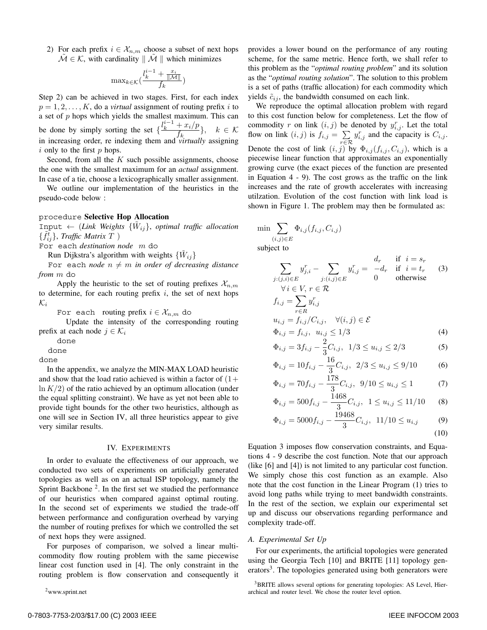2) For each prefix  $i \in \mathcal{X}_{n,m}$  choose a subset of next hops  $M \in \mathcal{K}$ , with cardinality  $\parallel M \parallel$  which minimizes

$$
\text{max}_{k \in \mathcal{K}}(\frac{l_{k}^{i-1} + \frac{x_i}{\|\mathcal{M}\|}}{f_k})
$$

Step 2) can be achieved in two stages. First, for each index  $p = 1, 2, \ldots, K$ , do a *virtual* assignment of routing prefix *i* to a set of *p* hops which yields the smallest maximum. This can be done by simply sorting the set  $\{\frac{l_k^{i-1} + x_i/p}{f_k}\}$ ,  $k \in \mathcal{K}$  in increasing order, re indexing them and *virtually* assigning *i* only to the first *p* hops.

Second, from all the *K* such possible assignments, choose the one with the smallest maximum for an *actual* assignment. In case of a tie, choose a lexicographically smaller assignment.

We outline our implementation of the heuristics in the pseudo-code below :

## procedure **Selective Hop Allocation**

Input *<sup>←</sup>* (*Link Weights {W*˜ *ij}*, *optimal traffic allocation*  $\{\tilde{f}_{ij}^{\overline{t}}\}$ , *Traffic Matrix T* )

For each *destination node m* do

Run Dijkstra's algorithm with weights  $\{\hat{W}_{ij}\}$ 

For each *node*  $n \neq m$  *in order of decreasing distance from m* do

Apply the heuristic to the set of routing prefixes  $\mathcal{X}_{n,m}$ to determine, for each routing prefix *i*, the set of next hops  $\mathcal{K}_i$ 

For each routing prefix  $i \in \mathcal{X}_{n,m}$  do

Update the intensity of the corresponding routing prefix at each node  $j \in \mathcal{K}_i$ 

done

done

done

In the appendix, we analyze the MIN-MAX LOAD heuristic and show that the load ratio achieved is within a factor of  $(1+$ ln *K/*2) of the ratio achieved by an optimum allocation (under the equal splitting constraint). We have as yet not been able to provide tight bounds for the other two heuristics, although as one will see in Section IV, all three heuristics appear to give very similar results.

# IV. EXPERIMENTS

In order to evaluate the effectiveness of our approach, we conducted two sets of experiments on artificially generated topologies as well as on an actual ISP topology, namely the Sprint Backbone<sup>2</sup>. In the first set we studied the performance of our heuristics when compared against optimal routing. In the second set of experiments we studied the trade-off between performance and configuration overhead by varying the number of routing prefixes for which we controlled the set of next hops they were assigned.

For purposes of comparison, we solved a linear multicommodity flow routing problem with the same piecewise linear cost function used in [4]. The only constraint in the routing problem is flow conservation and consequently it

2www.sprint.net

provides a lower bound on the performance of any routing scheme, for the same metric. Hence forth, we shall refer to this problem as the "*optimal routing problem*" and its solution as the "*optimal routing solution*". The solution to this problem is a set of paths (traffic allocation) for each commodity which yields  $\tilde{c}_{ij}$ , the bandwidth consumed on each link.

We reproduce the optimal allocation problem with regard to this cost function below for completeness. Let the flow of commodity *r* on link  $(i, j)$  be denoted by  $y_{i,j}^r$ . Let the total flow on link  $(i, j)$  is  $f_{i,j} = \sum$ *r∈R*  $y_{i,j}^r$  and the capacity is  $C_{i,j}$ . Denote the cost of link  $(i, j)$  by  $\Phi_{i,j}(f_{i,j}, C_{i,j})$ , which is a piecewise linear function that approximates an exponentially growing curve (the exact pieces of the function are presented in Equation 4 - 9). The cost grows as the traffic on the link increases and the rate of growth accelerates with increasing utilzation. Evolution of the cost function with link load is shown in Figure 1. The problem may then be formulated as:

$$
\min \sum_{(i,j) \in E} \Phi_{i,j}(f_{i,j}, C_{i,j})
$$
subject to

$$
\sum_{j:(j,i)\in E} y_{j,i}^r - \sum_{j:(i,j)\in E} y_{i,j}^r = \begin{cases} d_r & \text{if } i = s_r \\ -d_r & \text{if } i = t_r \\ 0 & \text{otherwise} \end{cases}
$$
 (3)  

$$
\forall i \in V, r \in \mathcal{R}
$$

$$
f_{i,j} = \sum_{r \in R} y_{i,j}^r
$$
  
\n
$$
u_{i,j} = f_{i,j}/C_{i,j}, \quad \forall (i,j) \in \mathcal{E}
$$
  
\n
$$
\Phi_{i,j} = f_{i,j}, \quad u_{i,j} \le 1/3
$$
\n(4)

$$
\Phi_{i,j} = 3f_{i,j} - \frac{2}{3}C_{i,j}, \ \ 1/3 \le u_{i,j} \le 2/3 \tag{5}
$$

$$
\Phi_{i,j} = 10f_{i,j} - \frac{16}{3}C_{i,j}, \ \ 2/3 \le u_{i,j} \le 9/10 \tag{6}
$$

$$
\Phi_{i,j} = 70f_{i,j} - \frac{178}{3}C_{i,j}, \ \ 9/10 \le u_{i,j} \le 1 \tag{7}
$$

$$
\Phi_{i,j} = 500 f_{i,j} - \frac{1468}{3} C_{i,j}, \ 1 \le u_{i,j} \le 11/10 \tag{8}
$$

$$
\Phi_{i,j} = 5000 f_{i,j} - \frac{19468}{3} C_{i,j}, \ \ 11/10 \le u_{i,j} \tag{9}
$$

(10)

Equation 3 imposes flow conservation constraints, and Equations 4 - 9 describe the cost function. Note that our approach (like [6] and [4]) is not limited to any particular cost function. We simply chose this cost function as an example. Also note that the cost function in the Linear Program (1) tries to avoid long paths while trying to meet bandwidth constraints. In the rest of the section, we explain our experimental set up and discuss our observations regarding performance and complexity trade-off.

#### *A. Experimental Set Up*

For our experiments, the artificial topologies were generated using the Georgia Tech [10] and BRITE [11] topology generators<sup>3</sup>. The topologies generated using both generators were

<sup>&</sup>lt;sup>3</sup>BRITE allows several options for generating topologies: AS Level, Hierarchical and router level. We chose the router level option.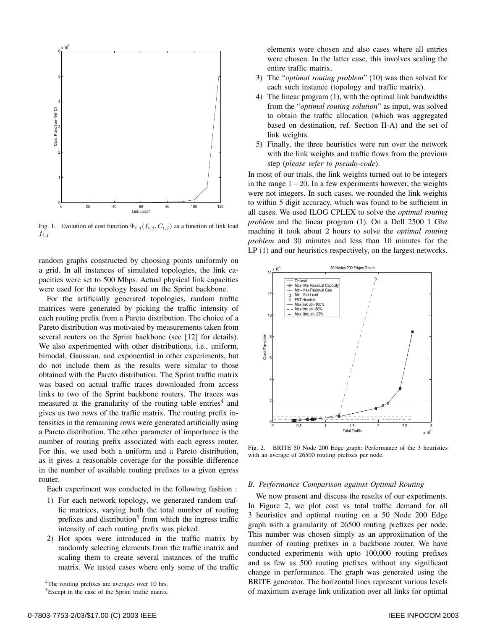

Fig. 1. Evolution of cost function  $\Phi_{i,j}(f_{i,j}, C_{i,j})$  as a function of link load  $f_{i,j}$ .

random graphs constructed by choosing points uniformly on a grid. In all instances of simulated topologies, the link capacities were set to 500 Mbps. Actual physical link capacities were used for the topology based on the Sprint backbone.

For the artificially generated topologies, random traffic matrices were generated by picking the traffic intensity of each routing prefix from a Pareto distribution. The choice of a Pareto distribution was motivated by measurements taken from several routers on the Sprint backbone (see [12] for details). We also experimented with other distributions, i.e., uniform, bimodal, Gaussian, and exponential in other experiments, but do not include them as the results were similar to those obtained with the Pareto distribution. The Sprint traffic matrix was based on actual traffic traces downloaded from access links to two of the Sprint backbone routers. The traces was measured at the granularity of the routing table entries<sup>4</sup> and gives us two rows of the traffic matrix. The routing prefix intensities in the remaining rows were generated artificially using a Pareto distribution. The other parameter of importance is the number of routing prefix associated with each egress router. For this, we used both a uniform and a Pareto distribution, as it gives a reasonable coverage for the possible difference in the number of available routing prefixes to a given egress router.

Each experiment was conducted in the following fashion :

- 1) For each network topology, we generated random traffic matrices, varying both the total number of routing prefixes and distribution<sup>5</sup> from which the ingress traffic intensity of each routing prefix was picked.
- 2) Hot spots were introduced in the traffic matrix by randomly selecting elements from the traffic matrix and scaling them to create several instances of the traffic matrix. We tested cases where only some of the traffic

<sup>4</sup>The routing prefixes are averages over 10 hrs. <sup>5</sup>Except in the case of the Sprint traffic matrix. elements were chosen and also cases where all entries were chosen. In the latter case, this involves scaling the entire traffic matrix.

- 3) The "*optimal routing problem*" (10) was then solved for each such instance (topology and traffic matrix).
- 4) The linear program (1), with the optimal link bandwidths from the "*optimal routing solution*" as input, was solved to obtain the traffic allocation (which was aggregated based on destination, ref. Section II-A) and the set of link weights.
- 5) Finally, the three heuristics were run over the network with the link weights and traffic flows from the previous step (*please refer to pseudo-code*).

In most of our trials, the link weights turned out to be integers in the range 1*−*20. In a few experiments however, the weights were not integers. In such cases, we rounded the link weights to within 5 digit accuracy, which was found to be sufficient in all cases. We used ILOG CPLEX to solve the *optimal routing problem* and the linear program (1). On a Dell 2500 1 Ghz machine it took about 2 hours to solve the *optimal routing problem* and 30 minutes and less than 10 minutes for the LP (1) and our heuristics respectively, on the largest networks.



Fig. 2. BRITE 50 Node 200 Edge graph: Performance of the 3 heuristics with an average of 26500 routing prefixes per node.

#### *B. Performance Comparison against Optimal Routing*

We now present and discuss the results of our experiments. In Figure 2, we plot cost vs total traffic demand for all 3 heuristics and optimal routing on a 50 Node 200 Edge graph with a granularity of 26500 routing prefixes per node. This number was chosen simply as an approximation of the number of routing prefixes in a backbone router. We have conducted experiments with upto 100,000 routing prefixes and as few as 500 routing prefixes without any significant change in performance. The graph was generated using the BRITE generator. The horizontal lines represent various levels of maximum average link utilization over all links for optimal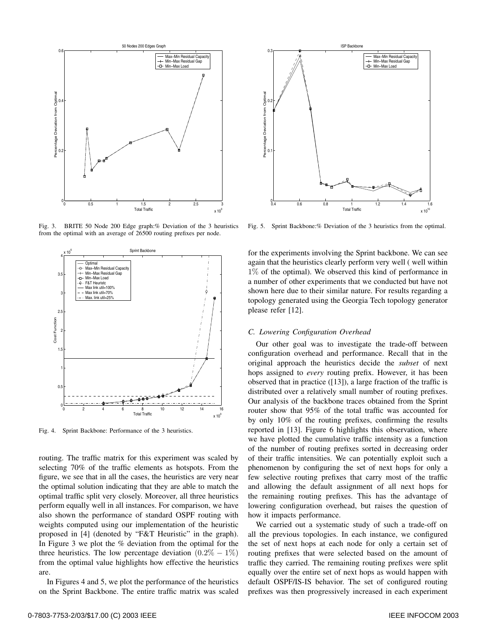

Fig. 3. BRITE 50 Node 200 Edge graph:% Deviation of the 3 heuristics from the optimal with an average of 26500 routing prefixes per node.



Fig. 4. Sprint Backbone: Performance of the 3 heuristics.

routing. The traffic matrix for this experiment was scaled by selecting 70% of the traffic elements as hotspots. From the figure, we see that in all the cases, the heuristics are very near the optimal solution indicating that they are able to match the optimal traffic split very closely. Moreover, all three heuristics perform equally well in all instances. For comparison, we have also shown the performance of standard OSPF routing with weights computed using our implementation of the heuristic proposed in [4] (denoted by "F&T Heuristic" in the graph). In Figure 3 we plot the % deviation from the optimal for the three heuristics. The low percentage deviation  $(0.2\% - 1\%)$ from the optimal value highlights how effective the heuristics are.

In Figures 4 and 5, we plot the performance of the heuristics on the Sprint Backbone. The entire traffic matrix was scaled



Fig. 5. Sprint Backbone:% Deviation of the 3 heuristics from the optimal.

for the experiments involving the Sprint backbone. We can see again that the heuristics clearly perform very well ( well within 1% of the optimal). We observed this kind of performance in a number of other experiments that we conducted but have not shown here due to their similar nature. For results regarding a topology generated using the Georgia Tech topology generator please refer [12].

# *C. Lowering Configuration Overhead*

Our other goal was to investigate the trade-off between configuration overhead and performance. Recall that in the original approach the heuristics decide the *subset* of next hops assigned to *every* routing prefix. However, it has been observed that in practice ([13]), a large fraction of the traffic is distributed over a relatively small number of routing prefixes. Our analysis of the backbone traces obtained from the Sprint router show that 95% of the total traffic was accounted for by only 10% of the routing prefixes, confirming the results reported in [13]. Figure 6 highlights this observation, where we have plotted the cumulative traffic intensity as a function of the number of routing prefixes sorted in decreasing order of their traffic intensities. We can potentially exploit such a phenomenon by configuring the set of next hops for only a few selective routing prefixes that carry most of the traffic and allowing the default assignment of all next hops for the remaining routing prefixes. This has the advantage of lowering configuration overhead, but raises the question of how it impacts performance.

We carried out a systematic study of such a trade-off on all the previous topologies. In each instance, we configured the set of next hops at each node for only a certain set of routing prefixes that were selected based on the amount of traffic they carried. The remaining routing prefixes were split equally over the entire set of next hops as would happen with default OSPF/IS-IS behavior. The set of configured routing prefixes was then progressively increased in each experiment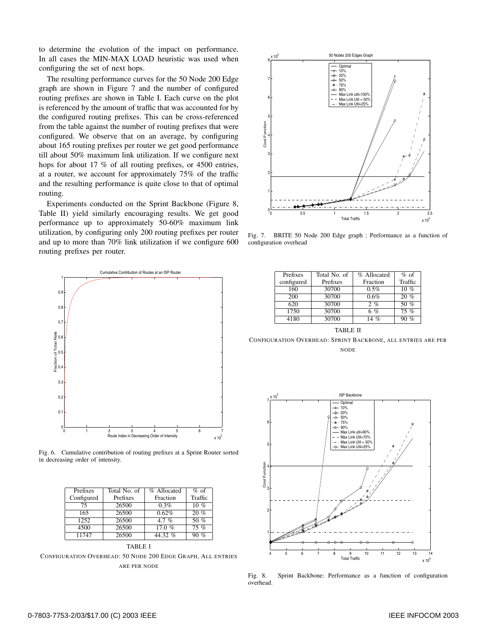to determine the evolution of the impact on performance. In all cases the MIN-MAX LOAD heuristic was used when configuring the set of next hops.

The resulting performance curves for the 50 Node 200 Edge graph are shown in Figure 7 and the number of configured routing prefixes are shown in Table I. Each curve on the plot is referenced by the amount of traffic that was accounted for by the configured routing prefixes. This can be cross-referenced from the table against the number of routing prefixes that were configured. We observe that on an average, by configuring about 165 routing prefixes per router we get good performance till about 50% maximum link utilization. If we configure next hops for about 17 % of all routing prefixes, or 4500 entries, at a router, we account for approximately 75% of the traffic and the resulting performance is quite close to that of optimal routing.

Experiments conducted on the Sprint Backbone (Figure 8, Table II) yield similarly encouraging results. We get good performance up to approximately 50-60% maximum link utilization, by configuring only 200 routing prefixes per router and up to more than 70% link utilization if we configure 600 routing prefixes per router.



Fig. 6. Cumulative contribution of routing prefixes at a Sprint Router sorted in decreasing order of intensity.

| Prefixes   | Total No. of | % Allocated | $%$ of  |
|------------|--------------|-------------|---------|
| Configured | Prefixes     | Fraction    | Traffic |
| 75         | 26500        | 0.3%        | 10 %    |
| 165        | 26500        | 0.62%       | $20\%$  |
| 1252       | 26500        | 4.7 %       | 50 %    |
| 4500       | 26500        | 17.0 $%$    | $75\%$  |
| 11747      | 26500        | 44.32 %     |         |

TABLE I CONFIGURATION OVERHEAD: 50 NODE 200 EDGE GRAPH, ALL ENTRIES ARE PER NODE



Fig. 7. BRITE 50 Node 200 Edge graph : Performance as a function of configuration overhead

| Prefixes   | Total No. of | % Allocated           | $%$ of  |
|------------|--------------|-----------------------|---------|
| configured | Prefixes     | Fraction              | Traffic |
| 160        | 30700        | 0.5%                  | $10 \%$ |
| 200        | 30700        | 0.6%                  | 20%     |
| 620        | 30700        | $2 \%$                | 50 %    |
| 1750       | 30700        | 6 %                   | 75%     |
| 4180       | 30700        | $\mathcal{O}_C$<br>14 |         |

TABLE II CONFIGURATION OVERHEAD: SPRINT BACKBONE, ALL ENTRIES ARE PER NODE



Fig. 8. Sprint Backbone: Performance as a function of configuration overhead.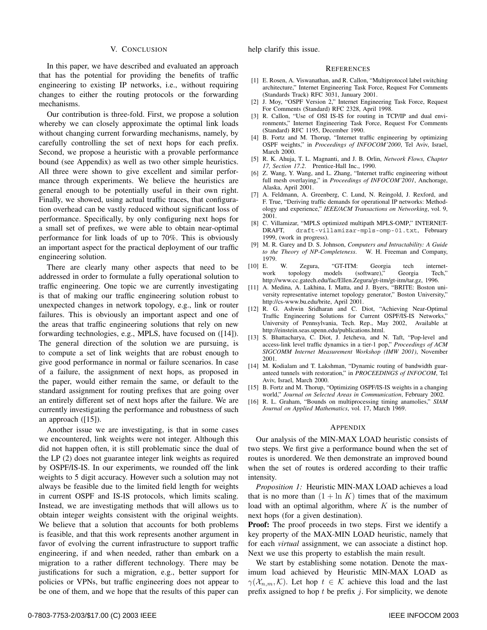# V. CONCLUSION

In this paper, we have described and evaluated an approach that has the potential for providing the benefits of traffic engineering to existing IP networks, i.e., without requiring changes to either the routing protocols or the forwarding mechanisms.

Our contribution is three-fold. First, we propose a solution whereby we can closely approximate the optimal link loads without changing current forwarding mechanisms, namely, by carefully controlling the set of next hops for each prefix. Second, we propose a heuristic with a provable performance bound (see Appendix) as well as two other simple heuristics. All three were shown to give excellent and similar performance through experiments. We believe the heuristics are general enough to be potentially useful in their own right. Finally, we showed, using actual traffic traces, that configuration overhead can be vastly reduced without significant loss of performance. Specifically, by only configuring next hops for a small set of prefixes, we were able to obtain near-optimal performance for link loads of up to 70%. This is obviously an important aspect for the practical deployment of our traffic engineering solution.

There are clearly many other aspects that need to be addressed in order to formulate a fully operational solution to traffic engineering. One topic we are currently investigating is that of making our traffic engineering solution robust to unexpected changes in network topology, e.g., link or router failures. This is obviously an important aspect and one of the areas that traffic engineering solutions that rely on new forwarding technologies, e.g., MPLS, have focused on ([14]). The general direction of the solution we are pursuing, is to compute a set of link weights that are robust enough to give good performance in normal or failure scenarios. In case of a failure, the assignment of next hops, as proposed in the paper, would either remain the same, or default to the standard assignment for routing prefixes that are going over an entirely different set of next hops after the failure. We are currently investigating the performance and robustness of such an approach ([15]).

Another issue we are investigating, is that in some cases we encountered, link weights were not integer. Although this did not happen often, it is still problematic since the dual of the LP (2) does not guarantee integer link weights as required by OSPF/IS-IS. In our experiments, we rounded off the link weights to 5 digit accuracy. However such a solution may not always be feasible due to the limited field length for weights in current OSPF and IS-IS protocols, which limits scaling. Instead, we are investigating methods that will allows us to obtain integer weights consistent with the original weights. We believe that a solution that accounts for both problems is feasible, and that this work represents another argument in favor of evolving the current infrastructure to support traffic engineering, if and when needed, rather than embark on a migration to a rather different technology. There may be justifications for such a migration, e.g., better support for policies or VPNs, but traffic engineering does not appear to be one of them, and we hope that the results of this paper can

help clarify this issue.

#### **REFERENCES**

- [1] E. Rosen, A. Viswanathan, and R. Callon, "Multiprotocol label switching architecture," Internet Engineering Task Force, Request For Comments (Standards Track) RFC 3031, January 2001.
- [2] J. Moy, "OSPF Version 2," Internet Engineering Task Force, Request For Comments (Standard) RFC 2328, April 1998.
- [3] R. Callon, "Use of OSI IS-IS for routing in TCP/IP and dual environments," Internet Engineering Task Force, Request For Comments (Standard) RFC 1195, December 1990.
- [4] B. Fortz and M. Thorup, "Internet traffic engineering by optimizing OSPF weights," in *Proceedings of INFOCOM'2000*, Tel Aviv, Israel, March 2000.
- [5] R. K. Ahuja, T. L. Magnanti, and J. B. Orlin, *Network Flows, Chapter 17, Section 17.2*. Prentice-Hall Inc., 1990.
- [6] Z. Wang, Y. Wang, and L. Zhang, "Internet traffic engineering without full mesh overlaying," in *Proceedings of INFOCOM'2001*, Anchorage, Alaska, April 2001.
- [7] A. Feldmann, A. Greenberg, C. Lund, N. Reingold, J. Rexford, and F. True, "Deriving traffic demands for operational IP networks: Methodology and experience," *IEEE/ACM Transactions on Networking*, vol. 9, 2001.
- [8] C. Villamizar, "MPLS optimized multipath MPLS-OMP," INTERNET-DRAFT, draft-villamizar-mpls-omp-01.txt, February 1999, (work in progress).
- [9] M. R. Garey and D. S. Johnson, *Computers and Intractability: A Guide* to the Theory of NP-Completeness. 1979.
- [10] E. W. Zegura, "GT-ITM: Georgia tech internetwork topology models (software)," Georgia Tech," http://www.cc.gatech.edu/fac/Ellen.Zegura/gt-itm/gt-itm/tar.gz, 1996.
- [11] A. Medina, A. Lakhina, I. Matta, and J. Byers, "BRITE: Boston university representative internet topology generator," Boston University," http://cs-www.bu.edu/brite, April 2001.
- [12] R. G. Ashwin Sridharan and C. Diot, "Achieving Near-Optimal Traffic Engineering Solutions for Current OSPF/IS-IS Networks," University of Pennsylvania, Tech. Rep., May 2002, Available at http://einstein.seas.upenn.edu/publications.html.
- [13] S. Bhattacharya, C. Diot, J. Jetcheva, and N. Taft, "Pop-level and access-link level traffic dynamics in a tier-1 pop," *Proceedings of ACM SIGCOMM Internet Measurement Workshop (IMW 2001)*, November 2001.
- [14] M. Kodialam and T. Lakshman, "Dynamic routing of bandwidth guaranteed tunnels with restoration," in *PROCEEDINGS of INFOCOM*, Tel Aviv, Israel, March 2000.
- [15] B. Fortz and M. Thorup, "Optimizing OSPF/IS-IS weights in a changing world," *Journal on Selected Areas in Communication*, February 2002.
- [16] R. L. Graham, "Bounds on multiprocessing timing anamolies," *SIAM Journal on Applied Mathematics*, vol. 17, March 1969.

#### APPENDIX

Our analysis of the MIN-MAX LOAD heuristic consists of two steps. We first give a performance bound when the set of routes is unordered. We then demonstrate an improved bound when the set of routes is ordered according to their traffic intensity.

*Proposition 1:* Heuristic MIN-MAX LOAD achieves a load that is no more than  $(1 + \ln K)$  times that of the maximum load with an optimal algorithm, where *K* is the number of next hops (for a given destination).

**Proof:** The proof proceeds in two steps. First we identify a key property of the MAX-MIN LOAD heuristic, namely that for each *virtual* assignment, we can associate a distinct hop. Next we use this property to establish the main result.

We start by establishing some notation. Denote the maximum load achieved by Heuristic MIN-MAX LOAD as  $\gamma(\mathcal{X}_{n,m},\mathcal{K})$ . Let hop  $t \in \mathcal{K}$  achieve this load and the last prefix assigned to hop *t* be prefix *j*. For simplicity, we denote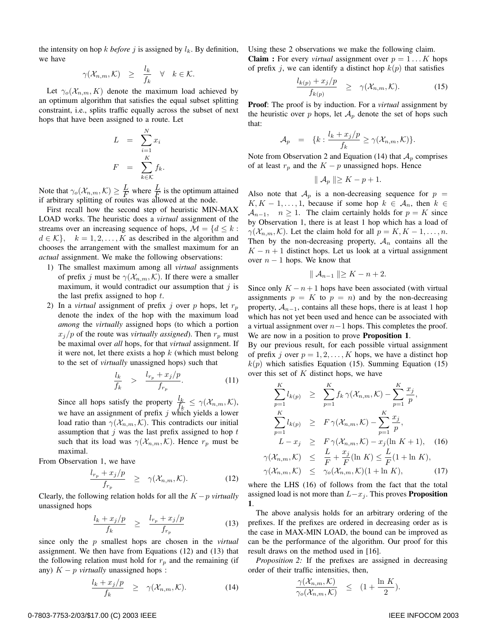the intensity on hop *k before j* is assigned by  $l_k$ . By definition, we have

$$
\gamma(\mathcal{X}_{n,m},\mathcal{K}) \geq \frac{l_k}{f_k} \quad \forall \quad k \in \mathcal{K}.
$$

Let  $\gamma_o(\mathcal{X}_{n,m}, K)$  denote the maximum load achieved by an optimum algorithm that satisfies the equal subset splitting constraint, i.e., splits traffic equally across the subset of next hops that have been assigned to a route. Let

$$
L = \sum_{i=1}^{N} x_i
$$
  

$$
F = \sum_{k \in \mathcal{K}}^{K} f_k.
$$

Note that  $\gamma_o(\mathcal{X}_{n,m}, \mathcal{K}) \geq \frac{L}{F}$  where  $\frac{L}{F}$  is the optimum attained if arbitrary splitting of routes was allowed at the node.

First recall how the second step of heuristic MIN-MAX LOAD works. The heuristic does a *virtual* assignment of the streams over an increasing sequence of hops,  $\mathcal{M} = \{d \leq k :$  $d \in \mathcal{K}$ ,  $k = 1, 2, ..., K$  as described in the algorithm and chooses the arrangement with the smallest maximum for an *actual* assignment. We make the following observations:

- 1) The smallest maximum among all *virtual* assignments of prefix *j* must be  $\gamma(\mathcal{X}_{n,m}, \mathcal{K})$ . If there were a smaller maximum, it would contradict our assumption that *j* is the last prefix assigned to hop *t*.
- 2) In a *virtual* assignment of prefix *j* over *p* hops, let *r<sup>p</sup>* denote the index of the hop with the maximum load *among* the *virtually* assigned hops (to which a portion  $x_j$  *p* of the route was *virtually assigned*). Then  $r_p$  must be maximal over *all* hops, for that *virtual* assignment. If it were not, let there exists a hop *k* (which must belong to the set of *virtually* unassigned hops) such that

$$
\frac{l_k}{f_k} > \frac{l_{r_p} + x_j/p}{f_{r_p}}.\tag{11}
$$

Since all hops satisfy the property  $\frac{l_k}{f_k} \le \gamma(\mathcal{X}_{n,m}, \mathcal{K})$ , we have an assignment of prefix *j* which yields a lower load ratio than  $\gamma(\mathcal{X}_{n,m},\mathcal{K})$ . This contradicts our initial assumption that *j* was the last prefix assigned to hop *t* such that its load was  $\gamma(\mathcal{X}_{n,m}, \mathcal{K})$ . Hence  $r_p$  must be maximal.

From Observation 1, we have

$$
\frac{l_{r_p} + x_j/p}{f_{r_p}} \ge \gamma(\mathcal{X}_{n,m}, \mathcal{K}). \tag{12}
$$

Clearly, the following relation holds for all the *K −p virtually* unassigned hops

$$
\frac{l_k + x_j/p}{f_k} \ge \frac{l_{r_p} + x_j/p}{f_{r_p}} \tag{13}
$$

since only the *p* smallest hops are chosen in the *virtual* assignment. We then have from Equations (12) and (13) that the following relation must hold for  $r_p$  and the remaining (if any)  $K - p$  *virtually* unassigned hops :

$$
\frac{l_k + x_j/p}{f_k} \geq \gamma(\mathcal{X}_{n,m}, \mathcal{K}). \tag{14}
$$

Using these 2 observations we make the following claim. **Claim :** For every *virtual* assignment over  $p = 1...K$  hops of prefix *j*, we can identify a distinct hop  $k(p)$  that satisfies

$$
\frac{l_{k(p)} + x_j/p}{f_{k(p)}} \ge \gamma(\mathcal{X}_{n,m}, \mathcal{K}). \tag{15}
$$

**Proof**: The proof is by induction. For a *virtual* assignment by the heuristic over *p* hops, let  $A_p$  denote the set of hops such that:

$$
\mathcal{A}_p = \{k : \frac{l_k + x_j/p}{f_k} \ge \gamma(\mathcal{X}_{n,m}, \mathcal{K})\}.
$$

Note from Observation 2 and Equation (14) that  $A_p$  comprises of at least  $r_p$  and the  $K - p$  unassigned hops. Hence

$$
\parallel \mathcal{A}_p \parallel \geq K - p + 1.
$$

Also note that  $A_p$  is a non-decreasing sequence for  $p =$  $K, K - 1, \ldots, 1$ , because if some hop  $k \in A_n$ , then  $k \in A$ *A*<sub>*n*−1</sub>*,*  $n \ge 1$ . The claim certainly holds for  $p = K$  since by Observation 1, there is at least 1 hop which has a load of *γ*( $\mathcal{X}_{n,m}$ ,  $\mathcal{K}$ ). Let the claim hold for all  $p = K, K - 1, \ldots, n$ . Then by the non-decreasing property,  $A_n$  contains all the *K − n* + 1 distinct hops. Let us look at a virtual assignment over *n −* 1 hops. We know that

$$
\parallel \mathcal{A}_{n-1} \parallel \geq K-n+2.
$$

Since only  $K - n + 1$  hops have been associated (with virtual assignments  $p = K$  to  $p = n$ ) and by the non-decreasing property,  $A_{n-1}$ , contains all these hops, there is at least 1 hop which has not yet been used and hence can be associated with a virtual assignment over *n−*1 hops. This completes the proof. We are now in a position to prove **Proposition 1**.

By our previous result, for each possible virtual assignment of prefix *j* over  $p = 1, 2, \ldots, K$  hops, we have a distinct hop  $k(p)$  which satisfies Equation (15). Summing Equation (15) over this set of *K* distinct hops, we have

$$
\sum_{p=1}^{K} l_{k(p)} \geq \sum_{p=1}^{K} f_k \gamma(\mathcal{X}_{n,m}, \mathcal{K}) - \sum_{p=1}^{K} \frac{x_j}{p},
$$
\n
$$
\sum_{p=1}^{K} l_{k(p)} \geq F \gamma(\mathcal{X}_{n,m}, \mathcal{K}) - \sum_{p=1}^{K} \frac{x_j}{p},
$$
\n
$$
L - x_j \geq F \gamma(\mathcal{X}_{n,m}, \mathcal{K}) - x_j(\ln K + 1), \quad (16)
$$
\n
$$
\gamma(\mathcal{X}_{n,m}, \mathcal{K}) \leq \frac{L}{F} + \frac{x_j}{F}(\ln K) \leq \frac{L}{F} (1 + \ln K),
$$
\n
$$
\gamma(\mathcal{X}_{n,m}, \mathcal{K}) \leq \gamma_o(\mathcal{X}_{n,m}, \mathcal{K}) (1 + \ln K), \quad (17)
$$

where the LHS (16) of follows from the fact that the total assigned load is not more than *L−x<sup>j</sup>* . This proves **Proposition 1**.

The above analysis holds for an arbitrary ordering of the prefixes. If the prefixes are ordered in decreasing order as is the case in MAX-MIN LOAD, the bound can be improved as can be the performance of the algorithm. Our proof for this result draws on the method used in [16].

*Proposition 2:* If the prefixes are assigned in decreasing order of their traffic intensities, then,

$$
\frac{\gamma(\mathcal{X}_{n,m},\mathcal{K})}{\gamma_o(\mathcal{X}_{n,m},\mathcal{K})} \leq (1+\frac{\ln K}{2}).
$$

# 0-7803-7753-2/03/\$17.00 (C) 2003 IEEE INFOCOM 2003 IEEE INFOCOM 2003